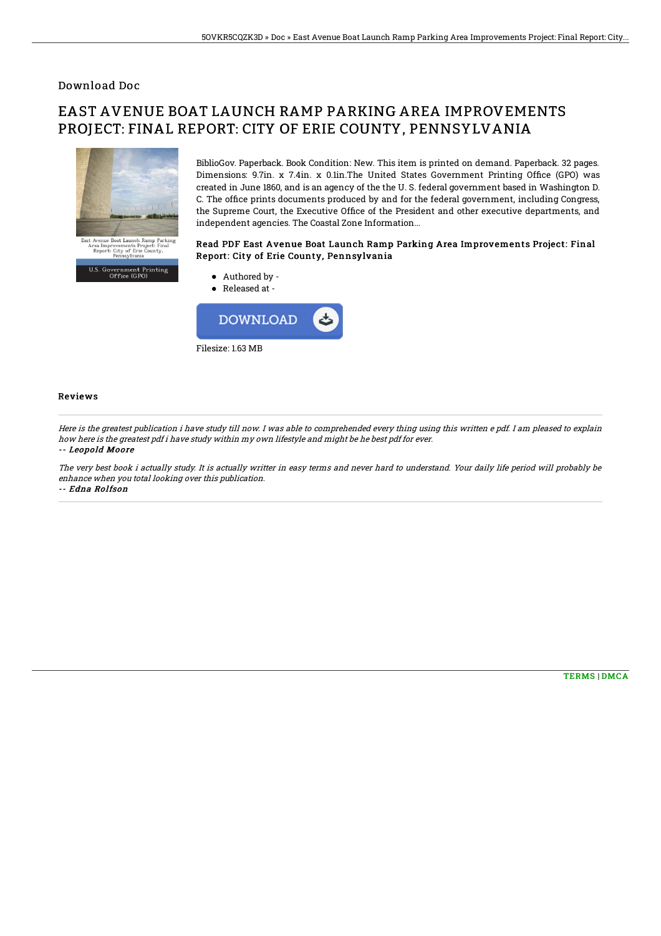### Download Doc

# EAST AVENUE BOAT LAUNCH RAMP PARKING AREA IMPROVEMENTS PROJECT: FINAL REPORT: CITY OF ERIE COUNTY, PENNSYLVANIA



U.S. Government Printing<br>Office (GPO)

BiblioGov. Paperback. Book Condition: New. This item is printed on demand. Paperback. 32 pages. Dimensions: 9.7in. x 7.4in. x 0.1in.The United States Government Printing Office (GPO) was created in June 1860, and is an agency of the the U. S. federal government based in Washington D. C. The office prints documents produced by and for the federal government, including Congress, the Supreme Court, the Executive Office of the President and other executive departments, and independent agencies. The Coastal Zone Information...

#### Read PDF East Avenue Boat Launch Ramp Parking Area Improvements Project: Final Report: City of Erie County, Pennsylvania



#### Reviews

Here is the greatest publication i have study till now. I was able to comprehended every thing using this written <sup>e</sup> pdf. I am pleased to explain how here is the greatest pdf i have study within my own lifestyle and might be he best pdf for ever. -- Leopold Moore

The very best book i actually study. It is actually writter in easy terms and never hard to understand. Your daily life period will probably be enhance when you total looking over this publication. -- Edna Rolfson